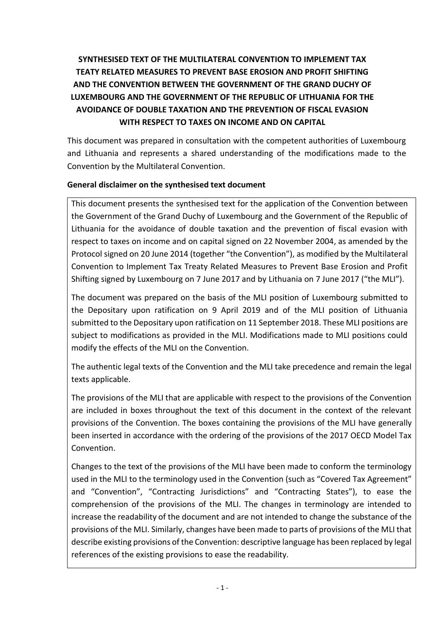# **SYNTHESISED TEXT OF THE MULTILATERAL CONVENTION TO IMPLEMENT TAX TEATY RELATED MEASURES TO PREVENT BASE EROSION AND PROFIT SHIFTING AND THE CONVENTION BETWEEN THE GOVERNMENT OF THE GRAND DUCHY OF LUXEMBOURG AND THE GOVERNMENT OF THE REPUBLIC OF LITHUANIA FOR THE AVOIDANCE OF DOUBLE TAXATION AND THE PREVENTION OF FISCAL EVASION WITH RESPECT TO TAXES ON INCOME AND ON CAPITAL**

This document was prepared in consultation with the competent authorities of Luxembourg and Lithuania and represents a shared understanding of the modifications made to the Convention by the Multilateral Convention.

### **General disclaimer on the synthesised text document**

This document presents the synthesised text for the application of the Convention between the Government of the Grand Duchy of Luxembourg and the Government of the Republic of Lithuania for the avoidance of double taxation and the prevention of fiscal evasion with respect to taxes on income and on capital signed on 22 November 2004, as amended by the Protocol signed on 20 June 2014 (together "the Convention"), as modified by the Multilateral Convention to Implement Tax Treaty Related Measures to Prevent Base Erosion and Profit Shifting signed by Luxembourg on 7 June 2017 and by Lithuania on 7 June 2017 ("the MLI").

The document was prepared on the basis of the MLI position of Luxembourg submitted to the Depositary upon ratification on 9 April 2019 and of the MLI position of Lithuania submitted to the Depositary upon ratification on 11 September 2018. These MLI positions are subject to modifications as provided in the MLI. Modifications made to MLI positions could modify the effects of the MLI on the Convention.

The authentic legal texts of the Convention and the MLI take precedence and remain the legal texts applicable.

The provisions of the MLI that are applicable with respect to the provisions of the Convention are included in boxes throughout the text of this document in the context of the relevant provisions of the Convention. The boxes containing the provisions of the MLI have generally been inserted in accordance with the ordering of the provisions of the 2017 OECD Model Tax Convention.

Changes to the text of the provisions of the MLI have been made to conform the terminology used in the MLI to the terminology used in the Convention (such as "Covered Tax Agreement" and "Convention", "Contracting Jurisdictions" and "Contracting States"), to ease the comprehension of the provisions of the MLI. The changes in terminology are intended to increase the readability of the document and are not intended to change the substance of the provisions of the MLI. Similarly, changes have been made to parts of provisions of the MLI that describe existing provisions of the Convention: descriptive language has been replaced by legal references of the existing provisions to ease the readability.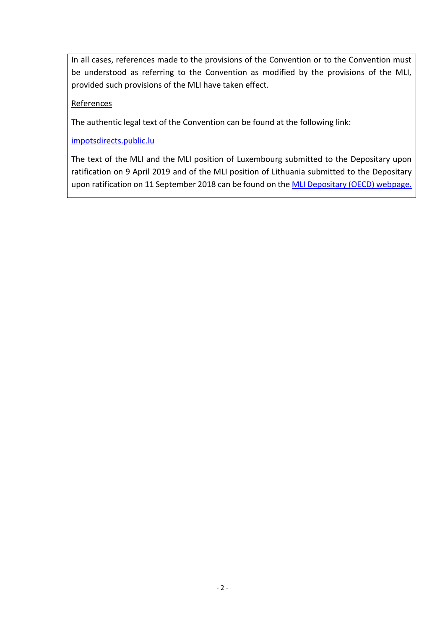In all cases, references made to the provisions of the Convention or to the Convention must be understood as referring to the Convention as modified by the provisions of the MLI, provided such provisions of the MLI have taken effect.

# References

The authentic legal text of the Convention can be found at the following link:

[impotsdirects.public.lu](https://impotsdirects.public.lu/fr.html)

The text of the MLI and the MLI position of Luxembourg submitted to the Depositary upon ratification on 9 April 2019 and of the MLI position of Lithuania submitted to the Depositary upon ratification on 11 September 2018 can be found on th[e MLI Depositary \(OECD\) webpage.](https://www.oecd.org/tax/treaties/multilateral-convention-to-implement-tax-treaty-related-measures-to-prevent-beps.htm)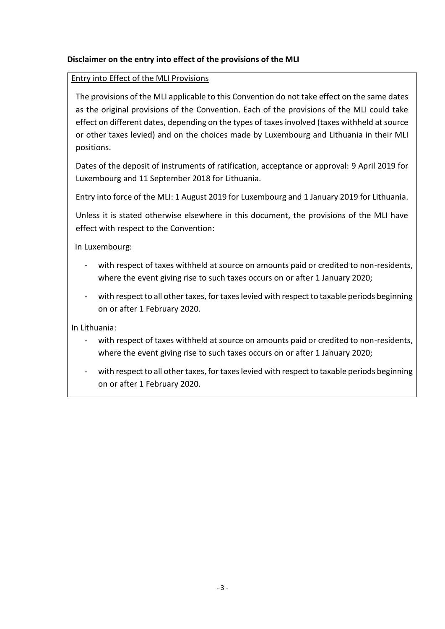## **Disclaimer on the entry into effect of the provisions of the MLI**

### Entry into Effect of the MLI Provisions

The provisions of the MLI applicable to this Convention do not take effect on the same dates as the original provisions of the Convention. Each of the provisions of the MLI could take effect on different dates, depending on the types of taxes involved (taxes withheld at source or other taxes levied) and on the choices made by Luxembourg and Lithuania in their MLI positions.

Dates of the deposit of instruments of ratification, acceptance or approval: 9 April 2019 for Luxembourg and 11 September 2018 for Lithuania.

Entry into force of the MLI: 1 August 2019 for Luxembourg and 1 January 2019 for Lithuania.

Unless it is stated otherwise elsewhere in this document, the provisions of the MLI have effect with respect to the Convention:

In Luxembourg:

- with respect of taxes withheld at source on amounts paid or credited to non-residents, where the event giving rise to such taxes occurs on or after 1 January 2020;
- with respect to all other taxes, for taxes levied with respect to taxable periods beginning on or after 1 February 2020.

In Lithuania:

- with respect of taxes withheld at source on amounts paid or credited to non-residents, where the event giving rise to such taxes occurs on or after 1 January 2020;
- with respect to all other taxes, for taxes levied with respect to taxable periods beginning on or after 1 February 2020.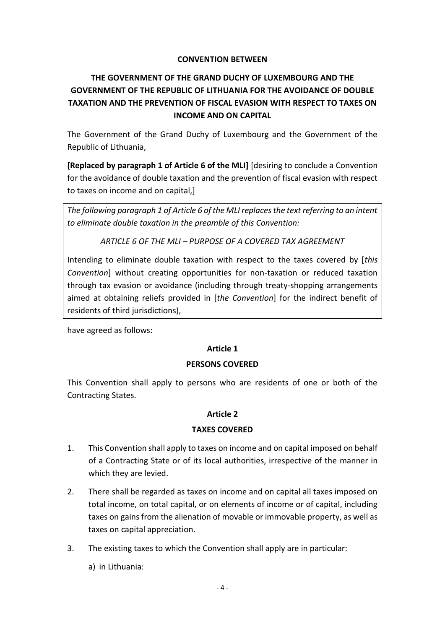### **CONVENTION BETWEEN**

# **THE GOVERNMENT OF THE GRAND DUCHY OF LUXEMBOURG AND THE GOVERNMENT OF THE REPUBLIC OF LITHUANIA FOR THE AVOIDANCE OF DOUBLE TAXATION AND THE PREVENTION OF FISCAL EVASION WITH RESPECT TO TAXES ON INCOME AND ON CAPITAL**

The Government of the Grand Duchy of Luxembourg and the Government of the Republic of Lithuania,

**[Replaced by paragraph 1 of Article 6 of the MLI]** [desiring to conclude a Convention for the avoidance of double taxation and the prevention of fiscal evasion with respect to taxes on income and on capital,]

*The following paragraph 1 of Article 6 of the MLI replaces the text referring to an intent to eliminate double taxation in the preamble of this Convention:*

*ARTICLE 6 OF THE MLI – PURPOSE OF A COVERED TAX AGREEMENT*

Intending to eliminate double taxation with respect to the taxes covered by [*this Convention*] without creating opportunities for non-taxation or reduced taxation through tax evasion or avoidance (including through treaty-shopping arrangements aimed at obtaining reliefs provided in [*the Convention*] for the indirect benefit of residents of third jurisdictions),

have agreed as follows:

### **Article 1**

### **PERSONS COVERED**

This Convention shall apply to persons who are residents of one or both of the Contracting States.

### **Article 2**

### **TAXES COVERED**

- 1. This Convention shall apply to taxes on income and on capital imposed on behalf of a Contracting State or of its local authorities, irrespective of the manner in which they are levied.
- 2. There shall be regarded as taxes on income and on capital all taxes imposed on total income, on total capital, or on elements of income or of capital, including taxes on gains from the alienation of movable or immovable property, as well as taxes on capital appreciation.
- 3. The existing taxes to which the Convention shall apply are in particular:

a) in Lithuania: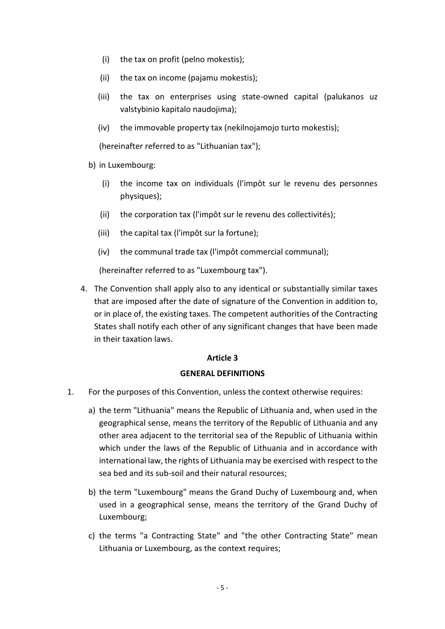- (i) the tax on profit (pelno mokestis);
- (ii) the tax on income (pajamu mokestis);
- (iii) the tax on enterprises using state-owned capital (palukanos uz valstybinio kapitalo naudojima);
- (iv) the immovable property tax (nekilnojamojo turto mokestis);

(hereinafter referred to as "Lithuanian tax");

b) in Luxembourg:

- (i) the income tax on individuals (l'impôt sur le revenu des personnes physiques);
- (ii) the corporation tax (l'impôt sur le revenu des collectivités);
- (iii) the capital tax (l'impôt sur la fortune);
- (iv) the communal trade tax (l'impôt commercial communal);

(hereinafter referred to as "Luxembourg tax").

4. The Convention shall apply also to any identical or substantially similar taxes that are imposed after the date of signature of the Convention in addition to, or in place of, the existing taxes. The competent authorities of the Contracting States shall notify each other of any significant changes that have been made in their taxation laws.

#### **Article 3**

#### **GENERAL DEFINITIONS**

- 1. For the purposes of this Convention, unless the context otherwise requires:
	- a) the term "Lithuania" means the Republic of Lithuania and, when used in the geographical sense, means the territory of the Republic of Lithuania and any other area adjacent to the territorial sea of the Republic of Lithuania within which under the laws of the Republic of Lithuania and in accordance with international law, the rights of Lithuania may be exercised with respect to the sea bed and its sub-soil and their natural resources;
	- b) the term "Luxembourg" means the Grand Duchy of Luxembourg and, when used in a geographical sense, means the territory of the Grand Duchy of Luxembourg;
	- c) the terms "a Contracting State" and "the other Contracting State" mean Lithuania or Luxembourg, as the context requires;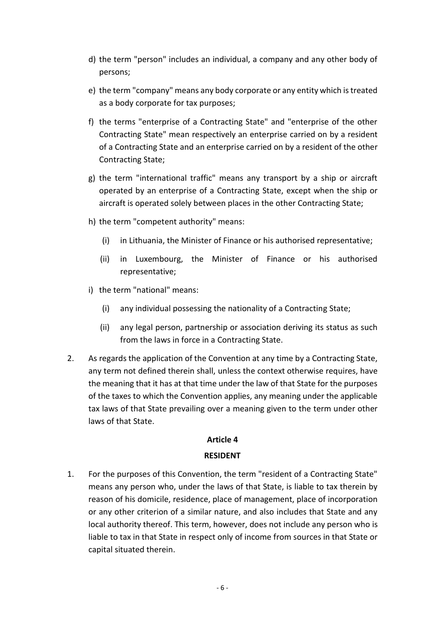- d) the term "person" includes an individual, a company and any other body of persons;
- e) the term "company" means any body corporate or any entity which is treated as a body corporate for tax purposes;
- f) the terms "enterprise of a Contracting State" and "enterprise of the other Contracting State" mean respectively an enterprise carried on by a resident of a Contracting State and an enterprise carried on by a resident of the other Contracting State;
- g) the term "international traffic" means any transport by a ship or aircraft operated by an enterprise of a Contracting State, except when the ship or aircraft is operated solely between places in the other Contracting State;
- h) the term "competent authority" means:
	- (i) in Lithuania, the Minister of Finance or his authorised representative;
	- (ii) in Luxembourg, the Minister of Finance or his authorised representative;
- i) the term "national" means:
	- (i) any individual possessing the nationality of a Contracting State;
	- (ii) any legal person, partnership or association deriving its status as such from the laws in force in a Contracting State.
- 2. As regards the application of the Convention at any time by a Contracting State, any term not defined therein shall, unless the context otherwise requires, have the meaning that it has at that time under the law of that State for the purposes of the taxes to which the Convention applies, any meaning under the applicable tax laws of that State prevailing over a meaning given to the term under other laws of that State.

#### **RESIDENT**

1. For the purposes of this Convention, the term "resident of a Contracting State" means any person who, under the laws of that State, is liable to tax therein by reason of his domicile, residence, place of management, place of incorporation or any other criterion of a similar nature, and also includes that State and any local authority thereof. This term, however, does not include any person who is liable to tax in that State in respect only of income from sources in that State or capital situated therein.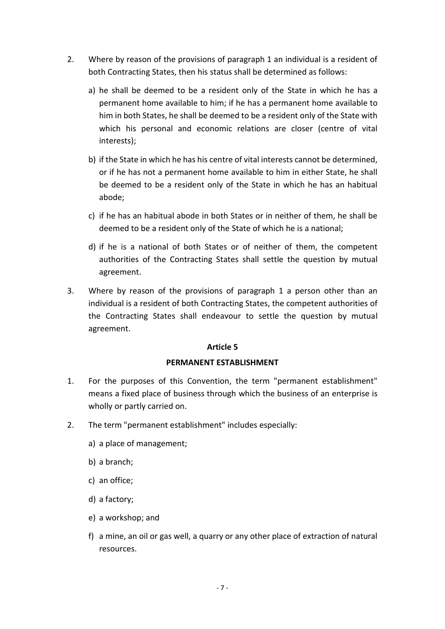- 2. Where by reason of the provisions of paragraph 1 an individual is a resident of both Contracting States, then his status shall be determined as follows:
	- a) he shall be deemed to be a resident only of the State in which he has a permanent home available to him; if he has a permanent home available to him in both States, he shall be deemed to be a resident only of the State with which his personal and economic relations are closer (centre of vital interests);
	- b) if the State in which he has his centre of vital interests cannot be determined, or if he has not a permanent home available to him in either State, he shall be deemed to be a resident only of the State in which he has an habitual abode;
	- c) if he has an habitual abode in both States or in neither of them, he shall be deemed to be a resident only of the State of which he is a national;
	- d) if he is a national of both States or of neither of them, the competent authorities of the Contracting States shall settle the question by mutual agreement.
- 3. Where by reason of the provisions of paragraph 1 a person other than an individual is a resident of both Contracting States, the competent authorities of the Contracting States shall endeavour to settle the question by mutual agreement.

#### **PERMANENT ESTABLISHMENT**

- 1. For the purposes of this Convention, the term "permanent establishment" means a fixed place of business through which the business of an enterprise is wholly or partly carried on.
- 2. The term "permanent establishment" includes especially:
	- a) a place of management;
	- b) a branch;
	- c) an office;
	- d) a factory;
	- e) a workshop; and
	- f) a mine, an oil or gas well, a quarry or any other place of extraction of natural resources.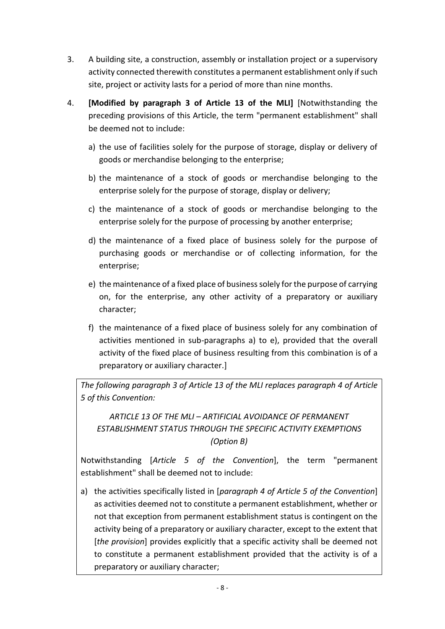- 3. A building site, a construction, assembly or installation project or a supervisory activity connected therewith constitutes a permanent establishment only if such site, project or activity lasts for a period of more than nine months.
- 4. **[Modified by paragraph 3 of Article 13 of the MLI]** [Notwithstanding the preceding provisions of this Article, the term "permanent establishment" shall be deemed not to include:
	- a) the use of facilities solely for the purpose of storage, display or delivery of goods or merchandise belonging to the enterprise;
	- b) the maintenance of a stock of goods or merchandise belonging to the enterprise solely for the purpose of storage, display or delivery;
	- c) the maintenance of a stock of goods or merchandise belonging to the enterprise solely for the purpose of processing by another enterprise;
	- d) the maintenance of a fixed place of business solely for the purpose of purchasing goods or merchandise or of collecting information, for the enterprise;
	- e) the maintenance of a fixed place of business solely for the purpose of carrying on, for the enterprise, any other activity of a preparatory or auxiliary character;
	- f) the maintenance of a fixed place of business solely for any combination of activities mentioned in sub-paragraphs a) to e), provided that the overall activity of the fixed place of business resulting from this combination is of a preparatory or auxiliary character.]

*The following paragraph 3 of Article 13 of the MLI replaces paragraph 4 of Article 5 of this Convention:*

*ARTICLE 13 OF THE MLI – ARTIFICIAL AVOIDANCE OF PERMANENT ESTABLISHMENT STATUS THROUGH THE SPECIFIC ACTIVITY EXEMPTIONS (Option B)*

Notwithstanding [*Article 5 of the Convention*], the term "permanent establishment" shall be deemed not to include:

a) the activities specifically listed in [*paragraph 4 of Article 5 of the Convention*] as activities deemed not to constitute a permanent establishment, whether or not that exception from permanent establishment status is contingent on the activity being of a preparatory or auxiliary character, except to the extent that [*the provision*] provides explicitly that a specific activity shall be deemed not to constitute a permanent establishment provided that the activity is of a preparatory or auxiliary character;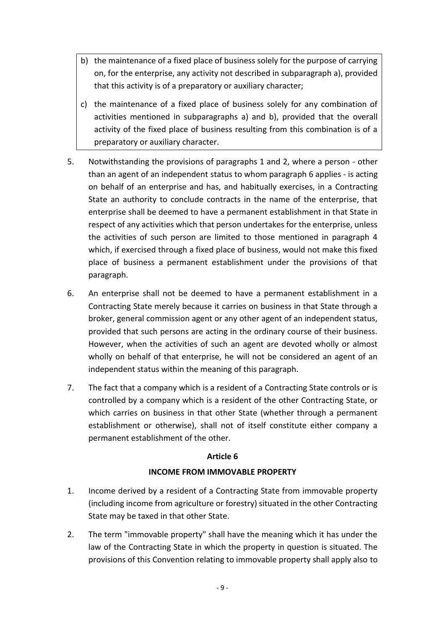- b) the maintenance of a fixed place of business solely for the purpose of carrying on, for the enterprise, any activity not described in subparagraph a), provided that this activity is of a preparatory or auxiliary character;
- c) the maintenance of a fixed place of business solely for any combination of activities mentioned in subparagraphs a) and b), provided that the overall activity of the fixed place of business resulting from this combination is of a preparatory or auxiliary character.
- 5. Notwithstanding the provisions of paragraphs 1 and 2, where a person other than an agent of an independent status to whom paragraph 6 applies - is acting on behalf of an enterprise and has, and habitually exercises, in a Contracting State an authority to conclude contracts in the name of the enterprise, that enterprise shall be deemed to have a permanent establishment in that State in respect of any activities which that person undertakes for the enterprise, unless the activities of such person are limited to those mentioned in paragraph 4 which, if exercised through a fixed place of business, would not make this fixed place of business a permanent establishment under the provisions of that paragraph.
- 6. An enterprise shall not be deemed to have a permanent establishment in a Contracting State merely because it carries on business in that State through a broker, general commission agent or any other agent of an independent status, provided that such persons are acting in the ordinary course of their business. However, when the activities of such an agent are devoted wholly or almost wholly on behalf of that enterprise, he will not be considered an agent of an independent status within the meaning of this paragraph.
- 7. The fact that a company which is a resident of a Contracting State controls or is controlled by a company which is a resident of the other Contracting State, or which carries on business in that other State (whether through a permanent establishment or otherwise), shall not of itself constitute either company a permanent establishment of the other.

### **INCOME FROM IMMOVABLE PROPERTY**

- 1. Income derived by a resident of a Contracting State from immovable property (including income from agriculture or forestry) situated in the other Contracting State may be taxed in that other State.
- 2. The term "immovable property" shall have the meaning which it has under the law of the Contracting State in which the property in question is situated. The provisions of this Convention relating to immovable property shall apply also to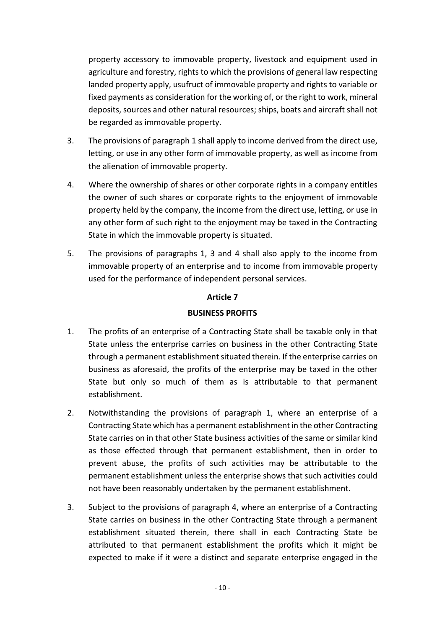property accessory to immovable property, livestock and equipment used in agriculture and forestry, rights to which the provisions of general law respecting landed property apply, usufruct of immovable property and rights to variable or fixed payments as consideration for the working of, or the right to work, mineral deposits, sources and other natural resources; ships, boats and aircraft shall not be regarded as immovable property.

- 3. The provisions of paragraph 1 shall apply to income derived from the direct use, letting, or use in any other form of immovable property, as well as income from the alienation of immovable property.
- 4. Where the ownership of shares or other corporate rights in a company entitles the owner of such shares or corporate rights to the enjoyment of immovable property held by the company, the income from the direct use, letting, or use in any other form of such right to the enjoyment may be taxed in the Contracting State in which the immovable property is situated.
- 5. The provisions of paragraphs 1, 3 and 4 shall also apply to the income from immovable property of an enterprise and to income from immovable property used for the performance of independent personal services.

### **Article 7**

### **BUSINESS PROFITS**

- 1. The profits of an enterprise of a Contracting State shall be taxable only in that State unless the enterprise carries on business in the other Contracting State through a permanent establishment situated therein. If the enterprise carries on business as aforesaid, the profits of the enterprise may be taxed in the other State but only so much of them as is attributable to that permanent establishment.
- 2. Notwithstanding the provisions of paragraph 1, where an enterprise of a Contracting State which has a permanent establishment in the other Contracting State carries on in that other State business activities of the same or similar kind as those effected through that permanent establishment, then in order to prevent abuse, the profits of such activities may be attributable to the permanent establishment unless the enterprise shows that such activities could not have been reasonably undertaken by the permanent establishment.
- 3. Subject to the provisions of paragraph 4, where an enterprise of a Contracting State carries on business in the other Contracting State through a permanent establishment situated therein, there shall in each Contracting State be attributed to that permanent establishment the profits which it might be expected to make if it were a distinct and separate enterprise engaged in the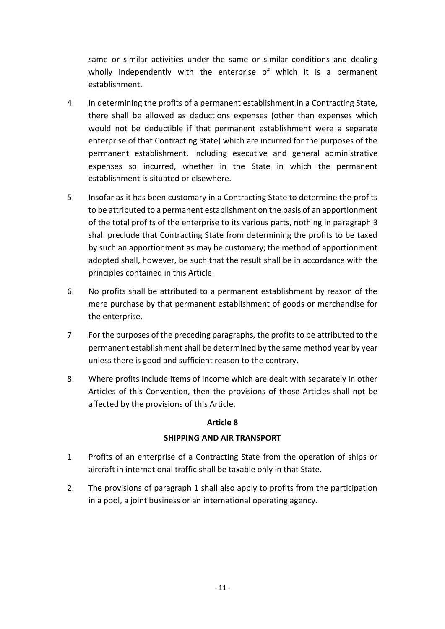same or similar activities under the same or similar conditions and dealing wholly independently with the enterprise of which it is a permanent establishment.

- 4. In determining the profits of a permanent establishment in a Contracting State, there shall be allowed as deductions expenses (other than expenses which would not be deductible if that permanent establishment were a separate enterprise of that Contracting State) which are incurred for the purposes of the permanent establishment, including executive and general administrative expenses so incurred, whether in the State in which the permanent establishment is situated or elsewhere.
- 5. Insofar as it has been customary in a Contracting State to determine the profits to be attributed to a permanent establishment on the basis of an apportionment of the total profits of the enterprise to its various parts, nothing in paragraph 3 shall preclude that Contracting State from determining the profits to be taxed by such an apportionment as may be customary; the method of apportionment adopted shall, however, be such that the result shall be in accordance with the principles contained in this Article.
- 6. No profits shall be attributed to a permanent establishment by reason of the mere purchase by that permanent establishment of goods or merchandise for the enterprise.
- 7. For the purposes of the preceding paragraphs, the profits to be attributed to the permanent establishment shall be determined by the same method year by year unless there is good and sufficient reason to the contrary.
- 8. Where profits include items of income which are dealt with separately in other Articles of this Convention, then the provisions of those Articles shall not be affected by the provisions of this Article.

### **Article 8**

### **SHIPPING AND AIR TRANSPORT**

- 1. Profits of an enterprise of a Contracting State from the operation of ships or aircraft in international traffic shall be taxable only in that State.
- 2. The provisions of paragraph 1 shall also apply to profits from the participation in a pool, a joint business or an international operating agency.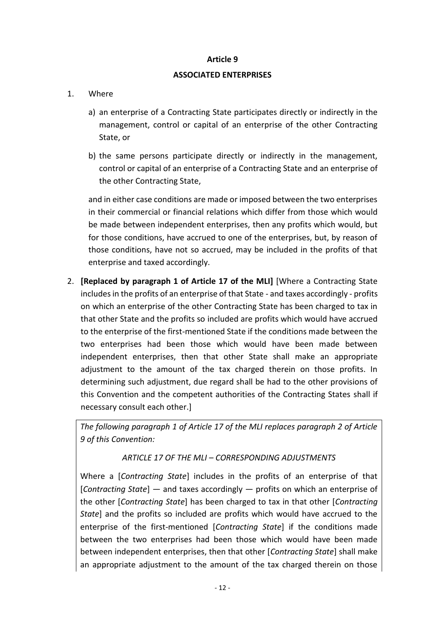#### **ASSOCIATED ENTERPRISES**

- 1. Where
	- a) an enterprise of a Contracting State participates directly or indirectly in the management, control or capital of an enterprise of the other Contracting State, or
	- b) the same persons participate directly or indirectly in the management, control or capital of an enterprise of a Contracting State and an enterprise of the other Contracting State,

and in either case conditions are made or imposed between the two enterprises in their commercial or financial relations which differ from those which would be made between independent enterprises, then any profits which would, but for those conditions, have accrued to one of the enterprises, but, by reason of those conditions, have not so accrued, may be included in the profits of that enterprise and taxed accordingly.

2. **[Replaced by paragraph 1 of Article 17 of the MLI]** [Where a Contracting State includes in the profits of an enterprise of that State - and taxes accordingly - profits on which an enterprise of the other Contracting State has been charged to tax in that other State and the profits so included are profits which would have accrued to the enterprise of the first-mentioned State if the conditions made between the two enterprises had been those which would have been made between independent enterprises, then that other State shall make an appropriate adjustment to the amount of the tax charged therein on those profits. In determining such adjustment, due regard shall be had to the other provisions of this Convention and the competent authorities of the Contracting States shall if necessary consult each other.]

*The following paragraph 1 of Article 17 of the MLI replaces paragraph 2 of Article 9 of this Convention:*

### *ARTICLE 17 OF THE MLI – CORRESPONDING ADJUSTMENTS*

Where a [*Contracting State*] includes in the profits of an enterprise of that [*Contracting State*] — and taxes accordingly — profits on which an enterprise of the other [*Contracting State*] has been charged to tax in that other [*Contracting State*] and the profits so included are profits which would have accrued to the enterprise of the first-mentioned [*Contracting State*] if the conditions made between the two enterprises had been those which would have been made between independent enterprises, then that other [*Contracting State*] shall make an appropriate adjustment to the amount of the tax charged therein on those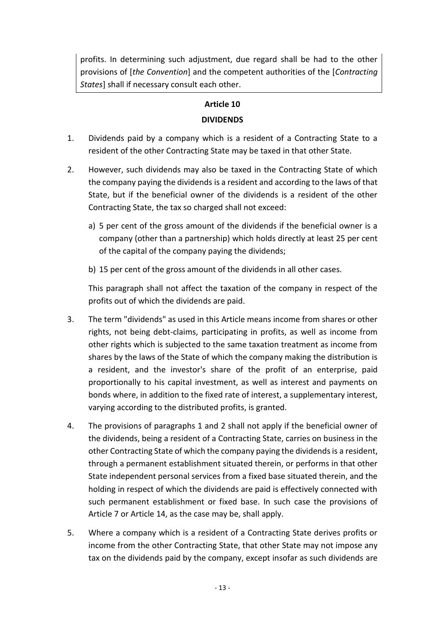profits. In determining such adjustment, due regard shall be had to the other provisions of [*the Convention*] and the competent authorities of the [*Contracting States*] shall if necessary consult each other.

# **Article 10 DIVIDENDS**

- 1. Dividends paid by a company which is a resident of a Contracting State to a resident of the other Contracting State may be taxed in that other State.
- 2. However, such dividends may also be taxed in the Contracting State of which the company paying the dividends is a resident and according to the laws of that State, but if the beneficial owner of the dividends is a resident of the other Contracting State, the tax so charged shall not exceed:
	- a) 5 per cent of the gross amount of the dividends if the beneficial owner is a company (other than a partnership) which holds directly at least 25 per cent of the capital of the company paying the dividends;
	- b) 15 per cent of the gross amount of the dividends in all other cases.

This paragraph shall not affect the taxation of the company in respect of the profits out of which the dividends are paid.

- 3. The term "dividends" as used in this Article means income from shares or other rights, not being debt-claims, participating in profits, as well as income from other rights which is subjected to the same taxation treatment as income from shares by the laws of the State of which the company making the distribution is a resident, and the investor's share of the profit of an enterprise, paid proportionally to his capital investment, as well as interest and payments on bonds where, in addition to the fixed rate of interest, a supplementary interest, varying according to the distributed profits, is granted.
- 4. The provisions of paragraphs 1 and 2 shall not apply if the beneficial owner of the dividends, being a resident of a Contracting State, carries on business in the other Contracting State of which the company paying the dividends is a resident, through a permanent establishment situated therein, or performs in that other State independent personal services from a fixed base situated therein, and the holding in respect of which the dividends are paid is effectively connected with such permanent establishment or fixed base. In such case the provisions of Article 7 or Article 14, as the case may be, shall apply.
- 5. Where a company which is a resident of a Contracting State derives profits or income from the other Contracting State, that other State may not impose any tax on the dividends paid by the company, except insofar as such dividends are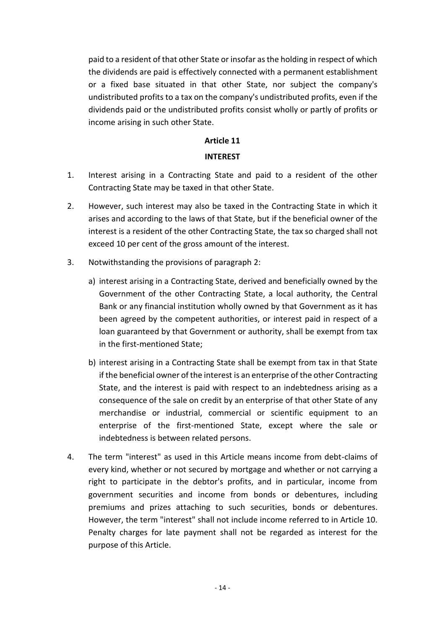paid to a resident of that other State or insofar as the holding in respect of which the dividends are paid is effectively connected with a permanent establishment or a fixed base situated in that other State, nor subject the company's undistributed profits to a tax on the company's undistributed profits, even if the dividends paid or the undistributed profits consist wholly or partly of profits or income arising in such other State.

### **Article 11**

#### **INTEREST**

- 1. Interest arising in a Contracting State and paid to a resident of the other Contracting State may be taxed in that other State.
- 2. However, such interest may also be taxed in the Contracting State in which it arises and according to the laws of that State, but if the beneficial owner of the interest is a resident of the other Contracting State, the tax so charged shall not exceed 10 per cent of the gross amount of the interest.
- 3. Notwithstanding the provisions of paragraph 2:
	- a) interest arising in a Contracting State, derived and beneficially owned by the Government of the other Contracting State, a local authority, the Central Bank or any financial institution wholly owned by that Government as it has been agreed by the competent authorities, or interest paid in respect of a loan guaranteed by that Government or authority, shall be exempt from tax in the first-mentioned State;
	- b) interest arising in a Contracting State shall be exempt from tax in that State if the beneficial owner of the interest is an enterprise of the other Contracting State, and the interest is paid with respect to an indebtedness arising as a consequence of the sale on credit by an enterprise of that other State of any merchandise or industrial, commercial or scientific equipment to an enterprise of the first-mentioned State, except where the sale or indebtedness is between related persons.
- 4. The term "interest" as used in this Article means income from debt-claims of every kind, whether or not secured by mortgage and whether or not carrying a right to participate in the debtor's profits, and in particular, income from government securities and income from bonds or debentures, including premiums and prizes attaching to such securities, bonds or debentures. However, the term "interest" shall not include income referred to in Article 10. Penalty charges for late payment shall not be regarded as interest for the purpose of this Article.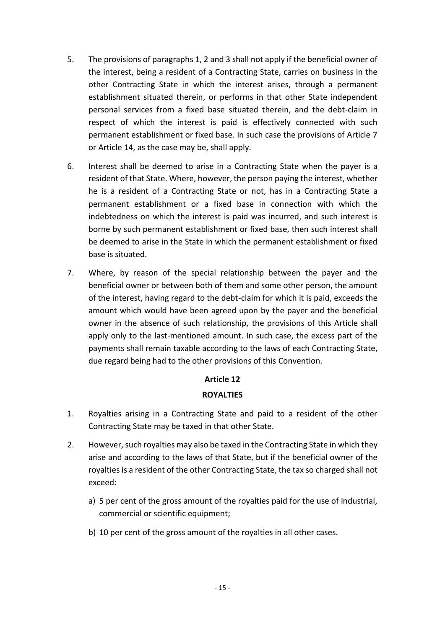- 5. The provisions of paragraphs 1, 2 and 3 shall not apply if the beneficial owner of the interest, being a resident of a Contracting State, carries on business in the other Contracting State in which the interest arises, through a permanent establishment situated therein, or performs in that other State independent personal services from a fixed base situated therein, and the debt-claim in respect of which the interest is paid is effectively connected with such permanent establishment or fixed base. In such case the provisions of Article 7 or Article 14, as the case may be, shall apply.
- 6. Interest shall be deemed to arise in a Contracting State when the payer is a resident of that State. Where, however, the person paying the interest, whether he is a resident of a Contracting State or not, has in a Contracting State a permanent establishment or a fixed base in connection with which the indebtedness on which the interest is paid was incurred, and such interest is borne by such permanent establishment or fixed base, then such interest shall be deemed to arise in the State in which the permanent establishment or fixed base is situated.
- 7. Where, by reason of the special relationship between the payer and the beneficial owner or between both of them and some other person, the amount of the interest, having regard to the debt-claim for which it is paid, exceeds the amount which would have been agreed upon by the payer and the beneficial owner in the absence of such relationship, the provisions of this Article shall apply only to the last-mentioned amount. In such case, the excess part of the payments shall remain taxable according to the laws of each Contracting State, due regard being had to the other provisions of this Convention.

### **ROYALTIES**

- 1. Royalties arising in a Contracting State and paid to a resident of the other Contracting State may be taxed in that other State.
- 2. However, such royalties may also be taxed in the Contracting State in which they arise and according to the laws of that State, but if the beneficial owner of the royalties is a resident of the other Contracting State, the tax so charged shall not exceed:
	- a) 5 per cent of the gross amount of the royalties paid for the use of industrial, commercial or scientific equipment:
	- b) 10 per cent of the gross amount of the royalties in all other cases.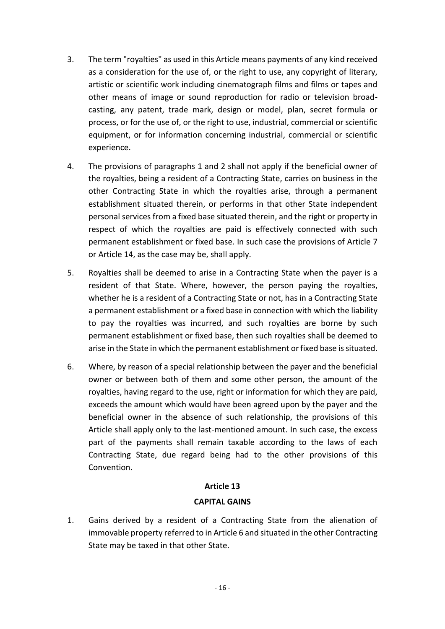- 3. The term "royalties" as used in this Article means payments of any kind received as a consideration for the use of, or the right to use, any copyright of literary, artistic or scientific work including cinematograph films and films or tapes and other means of image or sound reproduction for radio or television broadcasting, any patent, trade mark, design or model, plan, secret formula or process, or for the use of, or the right to use, industrial, commercial or scientific equipment, or for information concerning industrial, commercial or scientific experience.
- 4. The provisions of paragraphs 1 and 2 shall not apply if the beneficial owner of the royalties, being a resident of a Contracting State, carries on business in the other Contracting State in which the royalties arise, through a permanent establishment situated therein, or performs in that other State independent personal services from a fixed base situated therein, and the right or property in respect of which the royalties are paid is effectively connected with such permanent establishment or fixed base. In such case the provisions of Article 7 or Article 14, as the case may be, shall apply.
- 5. Royalties shall be deemed to arise in a Contracting State when the payer is a resident of that State. Where, however, the person paying the royalties, whether he is a resident of a Contracting State or not, has in a Contracting State a permanent establishment or a fixed base in connection with which the liability to pay the royalties was incurred, and such royalties are borne by such permanent establishment or fixed base, then such royalties shall be deemed to arise in the State in which the permanent establishment or fixed base is situated.
- 6. Where, by reason of a special relationship between the payer and the beneficial owner or between both of them and some other person, the amount of the royalties, having regard to the use, right or information for which they are paid, exceeds the amount which would have been agreed upon by the payer and the beneficial owner in the absence of such relationship, the provisions of this Article shall apply only to the last-mentioned amount. In such case, the excess part of the payments shall remain taxable according to the laws of each Contracting State, due regard being had to the other provisions of this Convention.

### **CAPITAL GAINS**

1. Gains derived by a resident of a Contracting State from the alienation of immovable property referred to in Article 6 and situated in the other Contracting State may be taxed in that other State.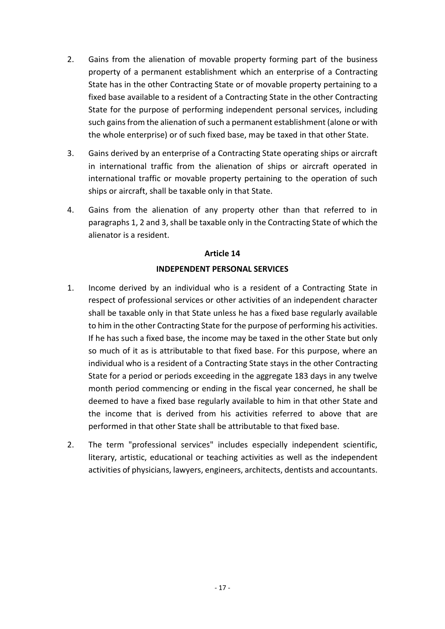- 2. Gains from the alienation of movable property forming part of the business property of a permanent establishment which an enterprise of a Contracting State has in the other Contracting State or of movable property pertaining to a fixed base available to a resident of a Contracting State in the other Contracting State for the purpose of performing independent personal services, including such gains from the alienation of such a permanent establishment (alone or with the whole enterprise) or of such fixed base, may be taxed in that other State.
- 3. Gains derived by an enterprise of a Contracting State operating ships or aircraft in international traffic from the alienation of ships or aircraft operated in international traffic or movable property pertaining to the operation of such ships or aircraft, shall be taxable only in that State.
- 4. Gains from the alienation of any property other than that referred to in paragraphs 1, 2 and 3, shall be taxable only in the Contracting State of which the alienator is a resident.

### **INDEPENDENT PERSONAL SERVICES**

- 1. Income derived by an individual who is a resident of a Contracting State in respect of professional services or other activities of an independent character shall be taxable only in that State unless he has a fixed base regularly available to him in the other Contracting State for the purpose of performing his activities. If he has such a fixed base, the income may be taxed in the other State but only so much of it as is attributable to that fixed base. For this purpose, where an individual who is a resident of a Contracting State stays in the other Contracting State for a period or periods exceeding in the aggregate 183 days in any twelve month period commencing or ending in the fiscal year concerned, he shall be deemed to have a fixed base regularly available to him in that other State and the income that is derived from his activities referred to above that are performed in that other State shall be attributable to that fixed base.
- 2. The term "professional services" includes especially independent scientific, literary, artistic, educational or teaching activities as well as the independent activities of physicians, lawyers, engineers, architects, dentists and accountants.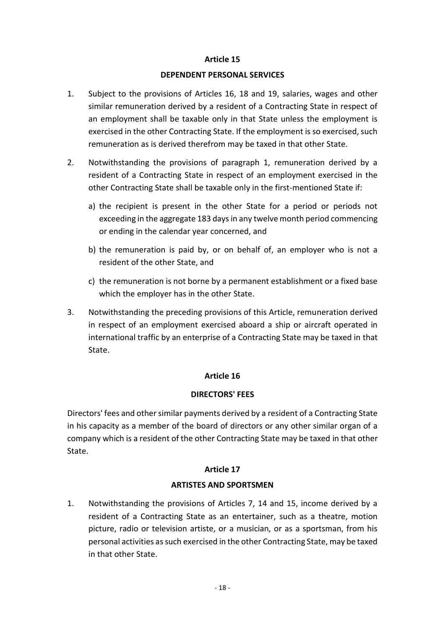#### **DEPENDENT PERSONAL SERVICES**

- 1. Subject to the provisions of Articles 16, 18 and 19, salaries, wages and other similar remuneration derived by a resident of a Contracting State in respect of an employment shall be taxable only in that State unless the employment is exercised in the other Contracting State. If the employment is so exercised, such remuneration as is derived therefrom may be taxed in that other State.
- 2. Notwithstanding the provisions of paragraph 1, remuneration derived by a resident of a Contracting State in respect of an employment exercised in the other Contracting State shall be taxable only in the first-mentioned State if:
	- a) the recipient is present in the other State for a period or periods not exceeding in the aggregate 183 days in any twelve month period commencing or ending in the calendar year concerned, and
	- b) the remuneration is paid by, or on behalf of, an employer who is not a resident of the other State, and
	- c) the remuneration is not borne by a permanent establishment or a fixed base which the employer has in the other State.
- 3. Notwithstanding the preceding provisions of this Article, remuneration derived in respect of an employment exercised aboard a ship or aircraft operated in international traffic by an enterprise of a Contracting State may be taxed in that State.

#### **Article 16**

#### **DIRECTORS' FEES**

Directors' fees and other similar payments derived by a resident of a Contracting State in his capacity as a member of the board of directors or any other similar organ of a company which is a resident of the other Contracting State may be taxed in that other State.

#### **Article 17**

#### **ARTISTES AND SPORTSMEN**

1. Notwithstanding the provisions of Articles 7, 14 and 15, income derived by a resident of a Contracting State as an entertainer, such as a theatre, motion picture, radio or television artiste, or a musician, or as a sportsman, from his personal activities as such exercised in the other Contracting State, may be taxed in that other State.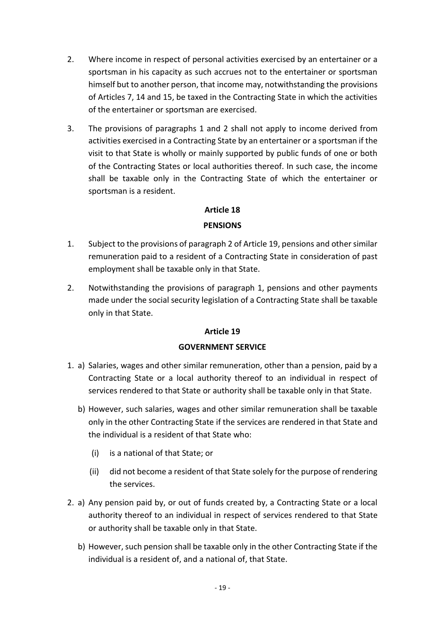- 2. Where income in respect of personal activities exercised by an entertainer or a sportsman in his capacity as such accrues not to the entertainer or sportsman himself but to another person, that income may, notwithstanding the provisions of Articles 7, 14 and 15, be taxed in the Contracting State in which the activities of the entertainer or sportsman are exercised.
- 3. The provisions of paragraphs 1 and 2 shall not apply to income derived from activities exercised in a Contracting State by an entertainer or a sportsman if the visit to that State is wholly or mainly supported by public funds of one or both of the Contracting States or local authorities thereof. In such case, the income shall be taxable only in the Contracting State of which the entertainer or sportsman is a resident.

# **PENSIONS**

- 1. Subject to the provisions of paragraph 2 of Article 19, pensions and other similar remuneration paid to a resident of a Contracting State in consideration of past employment shall be taxable only in that State.
- 2. Notwithstanding the provisions of paragraph 1, pensions and other payments made under the social security legislation of a Contracting State shall be taxable only in that State.

# **Article 19**

### **GOVERNMENT SERVICE**

- 1. a) Salaries, wages and other similar remuneration, other than a pension, paid by a Contracting State or a local authority thereof to an individual in respect of services rendered to that State or authority shall be taxable only in that State.
	- b) However, such salaries, wages and other similar remuneration shall be taxable only in the other Contracting State if the services are rendered in that State and the individual is a resident of that State who:
		- (i) is a national of that State; or
		- (ii) did not become a resident of that State solely for the purpose of rendering the services.
- 2. a) Any pension paid by, or out of funds created by, a Contracting State or a local authority thereof to an individual in respect of services rendered to that State or authority shall be taxable only in that State.
	- b) However, such pension shall be taxable only in the other Contracting State if the individual is a resident of, and a national of, that State.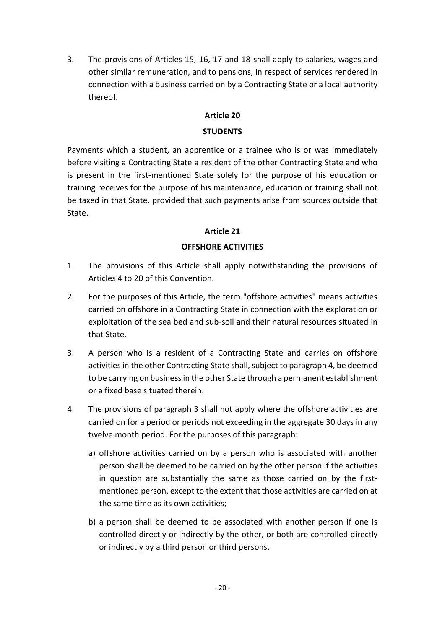3. The provisions of Articles 15, 16, 17 and 18 shall apply to salaries, wages and other similar remuneration, and to pensions, in respect of services rendered in connection with a business carried on by a Contracting State or a local authority thereof.

# **Article 20 STUDENTS**

Payments which a student, an apprentice or a trainee who is or was immediately before visiting a Contracting State a resident of the other Contracting State and who is present in the first-mentioned State solely for the purpose of his education or training receives for the purpose of his maintenance, education or training shall not be taxed in that State, provided that such payments arise from sources outside that State.

## **Article 21**

# **OFFSHORE ACTIVITIES**

- 1. The provisions of this Article shall apply notwithstanding the provisions of Articles 4 to 20 of this Convention.
- 2. For the purposes of this Article, the term "offshore activities" means activities carried on offshore in a Contracting State in connection with the exploration or exploitation of the sea bed and sub-soil and their natural resources situated in that State.
- 3. A person who is a resident of a Contracting State and carries on offshore activities in the other Contracting State shall, subject to paragraph 4, be deemed to be carrying on business in the other State through a permanent establishment or a fixed base situated therein.
- 4. The provisions of paragraph 3 shall not apply where the offshore activities are carried on for a period or periods not exceeding in the aggregate 30 days in any twelve month period. For the purposes of this paragraph:
	- a) offshore activities carried on by a person who is associated with another person shall be deemed to be carried on by the other person if the activities in question are substantially the same as those carried on by the firstmentioned person, except to the extent that those activities are carried on at the same time as its own activities;
	- b) a person shall be deemed to be associated with another person if one is controlled directly or indirectly by the other, or both are controlled directly or indirectly by a third person or third persons.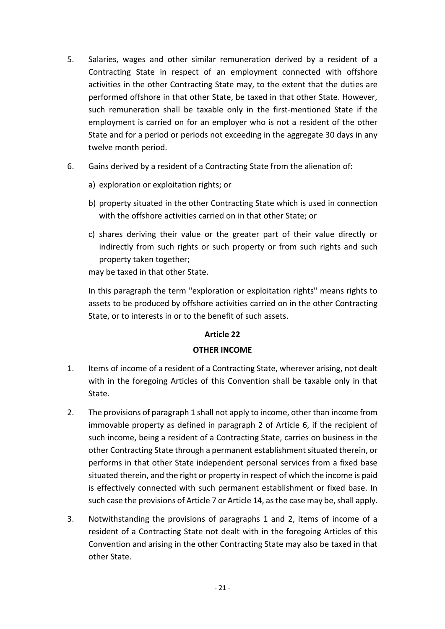- 5. Salaries, wages and other similar remuneration derived by a resident of a Contracting State in respect of an employment connected with offshore activities in the other Contracting State may, to the extent that the duties are performed offshore in that other State, be taxed in that other State. However, such remuneration shall be taxable only in the first-mentioned State if the employment is carried on for an employer who is not a resident of the other State and for a period or periods not exceeding in the aggregate 30 days in any twelve month period.
- 6. Gains derived by a resident of a Contracting State from the alienation of:
	- a) exploration or exploitation rights; or
	- b) property situated in the other Contracting State which is used in connection with the offshore activities carried on in that other State; or
	- c) shares deriving their value or the greater part of their value directly or indirectly from such rights or such property or from such rights and such property taken together;

may be taxed in that other State.

In this paragraph the term "exploration or exploitation rights" means rights to assets to be produced by offshore activities carried on in the other Contracting State, or to interests in or to the benefit of such assets.

### **Article 22**

### **OTHER INCOME**

- 1. Items of income of a resident of a Contracting State, wherever arising, not dealt with in the foregoing Articles of this Convention shall be taxable only in that State.
- 2. The provisions of paragraph 1 shall not apply to income, other than income from immovable property as defined in paragraph 2 of Article 6, if the recipient of such income, being a resident of a Contracting State, carries on business in the other Contracting State through a permanent establishment situated therein, or performs in that other State independent personal services from a fixed base situated therein, and the right or property in respect of which the income is paid is effectively connected with such permanent establishment or fixed base. In such case the provisions of Article 7 or Article 14, as the case may be, shall apply.
- 3. Notwithstanding the provisions of paragraphs 1 and 2, items of income of a resident of a Contracting State not dealt with in the foregoing Articles of this Convention and arising in the other Contracting State may also be taxed in that other State.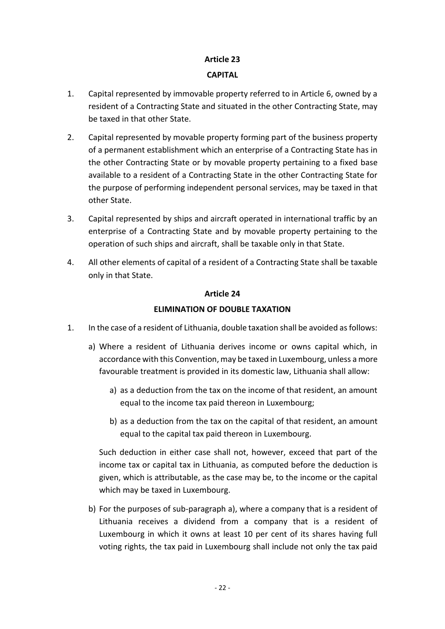### **CAPITAL**

- 1. Capital represented by immovable property referred to in Article 6, owned by a resident of a Contracting State and situated in the other Contracting State, may be taxed in that other State.
- 2. Capital represented by movable property forming part of the business property of a permanent establishment which an enterprise of a Contracting State has in the other Contracting State or by movable property pertaining to a fixed base available to a resident of a Contracting State in the other Contracting State for the purpose of performing independent personal services, may be taxed in that other State.
- 3. Capital represented by ships and aircraft operated in international traffic by an enterprise of a Contracting State and by movable property pertaining to the operation of such ships and aircraft, shall be taxable only in that State.
- 4. All other elements of capital of a resident of a Contracting State shall be taxable only in that State.

# **Article 24**

# **ELIMINATION OF DOUBLE TAXATION**

- 1. In the case of a resident of Lithuania, double taxation shall be avoided as follows:
	- a) Where a resident of Lithuania derives income or owns capital which, in accordance with this Convention, may be taxed in Luxembourg, unless a more favourable treatment is provided in its domestic law, Lithuania shall allow:
		- a) as a deduction from the tax on the income of that resident, an amount equal to the income tax paid thereon in Luxembourg;
		- b) as a deduction from the tax on the capital of that resident, an amount equal to the capital tax paid thereon in Luxembourg.

Such deduction in either case shall not, however, exceed that part of the income tax or capital tax in Lithuania, as computed before the deduction is given, which is attributable, as the case may be, to the income or the capital which may be taxed in Luxembourg.

b) For the purposes of sub-paragraph a), where a company that is a resident of Lithuania receives a dividend from a company that is a resident of Luxembourg in which it owns at least 10 per cent of its shares having full voting rights, the tax paid in Luxembourg shall include not only the tax paid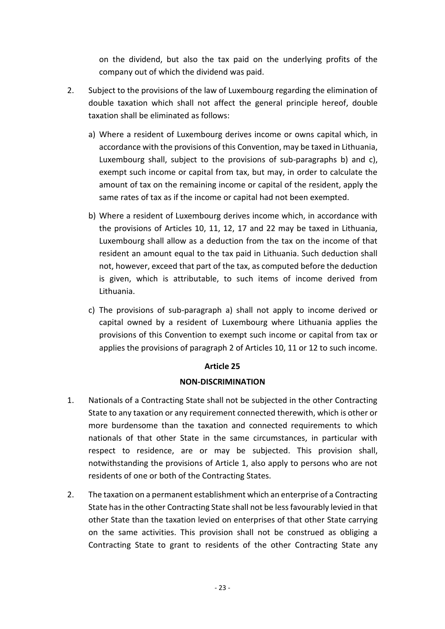on the dividend, but also the tax paid on the underlying profits of the company out of which the dividend was paid.

- 2. Subject to the provisions of the law of Luxembourg regarding the elimination of double taxation which shall not affect the general principle hereof, double taxation shall be eliminated as follows:
	- a) Where a resident of Luxembourg derives income or owns capital which, in accordance with the provisions of this Convention, may be taxed in Lithuania, Luxembourg shall, subject to the provisions of sub-paragraphs b) and c), exempt such income or capital from tax, but may, in order to calculate the amount of tax on the remaining income or capital of the resident, apply the same rates of tax as if the income or capital had not been exempted.
	- b) Where a resident of Luxembourg derives income which, in accordance with the provisions of Articles 10, 11, 12, 17 and 22 may be taxed in Lithuania, Luxembourg shall allow as a deduction from the tax on the income of that resident an amount equal to the tax paid in Lithuania. Such deduction shall not, however, exceed that part of the tax, as computed before the deduction is given, which is attributable, to such items of income derived from Lithuania.
	- c) The provisions of sub-paragraph a) shall not apply to income derived or capital owned by a resident of Luxembourg where Lithuania applies the provisions of this Convention to exempt such income or capital from tax or applies the provisions of paragraph 2 of Articles 10, 11 or 12 to such income.

### **Article 25**

### **NON-DISCRIMINATION**

- 1. Nationals of a Contracting State shall not be subjected in the other Contracting State to any taxation or any requirement connected therewith, which is other or more burdensome than the taxation and connected requirements to which nationals of that other State in the same circumstances, in particular with respect to residence, are or may be subjected. This provision shall, notwithstanding the provisions of Article 1, also apply to persons who are not residents of one or both of the Contracting States.
- 2. The taxation on a permanent establishment which an enterprise of a Contracting State has in the other Contracting State shall not be less favourably levied in that other State than the taxation levied on enterprises of that other State carrying on the same activities. This provision shall not be construed as obliging a Contracting State to grant to residents of the other Contracting State any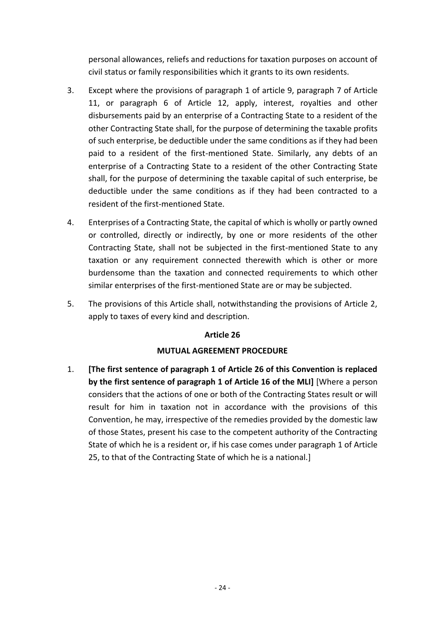personal allowances, reliefs and reductions for taxation purposes on account of civil status or family responsibilities which it grants to its own residents.

- 3. Except where the provisions of paragraph 1 of article 9, paragraph 7 of Article 11, or paragraph 6 of Article 12, apply, interest, royalties and other disbursements paid by an enterprise of a Contracting State to a resident of the other Contracting State shall, for the purpose of determining the taxable profits of such enterprise, be deductible under the same conditions as if they had been paid to a resident of the first-mentioned State. Similarly, any debts of an enterprise of a Contracting State to a resident of the other Contracting State shall, for the purpose of determining the taxable capital of such enterprise, be deductible under the same conditions as if they had been contracted to a resident of the first-mentioned State.
- 4. Enterprises of a Contracting State, the capital of which is wholly or partly owned or controlled, directly or indirectly, by one or more residents of the other Contracting State, shall not be subjected in the first-mentioned State to any taxation or any requirement connected therewith which is other or more burdensome than the taxation and connected requirements to which other similar enterprises of the first-mentioned State are or may be subjected.
- 5. The provisions of this Article shall, notwithstanding the provisions of Article 2, apply to taxes of every kind and description.

### **Article 26**

### **MUTUAL AGREEMENT PROCEDURE**

1. **[The first sentence of paragraph 1 of Article 26 of this Convention is replaced by the first sentence of paragraph 1 of Article 16 of the MLI]** [Where a person considers that the actions of one or both of the Contracting States result or will result for him in taxation not in accordance with the provisions of this Convention, he may, irrespective of the remedies provided by the domestic law of those States, present his case to the competent authority of the Contracting State of which he is a resident or, if his case comes under paragraph 1 of Article 25, to that of the Contracting State of which he is a national.]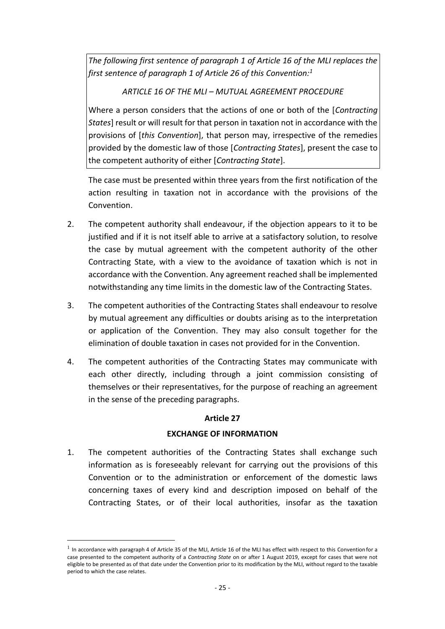*The following first sentence of paragraph 1 of Article 16 of the MLI replaces the first sentence of paragraph 1 of Article 26 of this Convention:<sup>1</sup>*

*ARTICLE 16 OF THE MLI – MUTUAL AGREEMENT PROCEDURE*

Where a person considers that the actions of one or both of the [*Contracting States*] result or will result for that person in taxation not in accordance with the provisions of [*this Convention*], that person may, irrespective of the remedies provided by the domestic law of those [*Contracting States*], present the case to the competent authority of either [*Contracting State*].

The case must be presented within three years from the first notification of the action resulting in taxation not in accordance with the provisions of the Convention.

- 2. The competent authority shall endeavour, if the objection appears to it to be justified and if it is not itself able to arrive at a satisfactory solution, to resolve the case by mutual agreement with the competent authority of the other Contracting State, with a view to the avoidance of taxation which is not in accordance with the Convention. Any agreement reached shall be implemented notwithstanding any time limits in the domestic law of the Contracting States.
- 3. The competent authorities of the Contracting States shall endeavour to resolve by mutual agreement any difficulties or doubts arising as to the interpretation or application of the Convention. They may also consult together for the elimination of double taxation in cases not provided for in the Convention.
- 4. The competent authorities of the Contracting States may communicate with each other directly, including through a joint commission consisting of themselves or their representatives, for the purpose of reaching an agreement in the sense of the preceding paragraphs.

### **Article 27**

### **EXCHANGE OF INFORMATION**

1. The competent authorities of the Contracting States shall exchange such information as is foreseeably relevant for carrying out the provisions of this Convention or to the administration or enforcement of the domestic laws concerning taxes of every kind and description imposed on behalf of the Contracting States, or of their local authorities, insofar as the taxation

1

<sup>&</sup>lt;sup>1</sup> In accordance with paragraph 4 of Article 35 of the MLI, Article 16 of the MLI has effect with respect to this Convention for a case presented to the competent authority of a *Contracting State* on or after 1 August 2019, except for cases that were not eligible to be presented as of that date under the Convention prior to its modification by the MLI, without regard to the taxable period to which the case relates.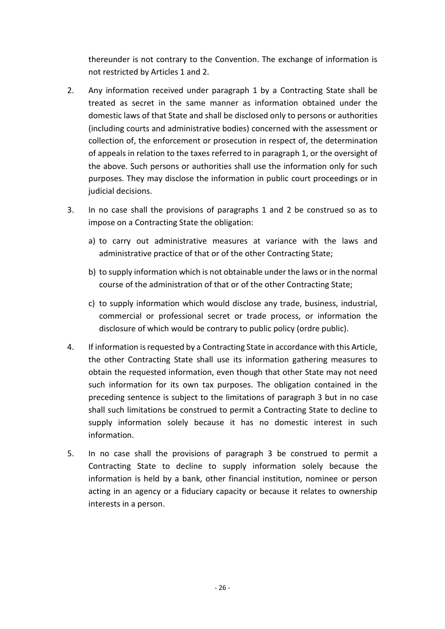thereunder is not contrary to the Convention. The exchange of information is not restricted by Articles 1 and 2.

- 2. Any information received under paragraph 1 by a Contracting State shall be treated as secret in the same manner as information obtained under the domestic laws of that State and shall be disclosed only to persons or authorities (including courts and administrative bodies) concerned with the assessment or collection of, the enforcement or prosecution in respect of, the determination of appeals in relation to the taxes referred to in paragraph 1, or the oversight of the above. Such persons or authorities shall use the information only for such purposes. They may disclose the information in public court proceedings or in judicial decisions.
- 3. In no case shall the provisions of paragraphs 1 and 2 be construed so as to impose on a Contracting State the obligation:
	- a) to carry out administrative measures at variance with the laws and administrative practice of that or of the other Contracting State;
	- b) to supply information which is not obtainable under the laws or in the normal course of the administration of that or of the other Contracting State;
	- c) to supply information which would disclose any trade, business, industrial, commercial or professional secret or trade process, or information the disclosure of which would be contrary to public policy (ordre public).
- 4. If information is requested by a Contracting State in accordance with this Article, the other Contracting State shall use its information gathering measures to obtain the requested information, even though that other State may not need such information for its own tax purposes. The obligation contained in the preceding sentence is subject to the limitations of paragraph 3 but in no case shall such limitations be construed to permit a Contracting State to decline to supply information solely because it has no domestic interest in such information.
- 5. In no case shall the provisions of paragraph 3 be construed to permit a Contracting State to decline to supply information solely because the information is held by a bank, other financial institution, nominee or person acting in an agency or a fiduciary capacity or because it relates to ownership interests in a person.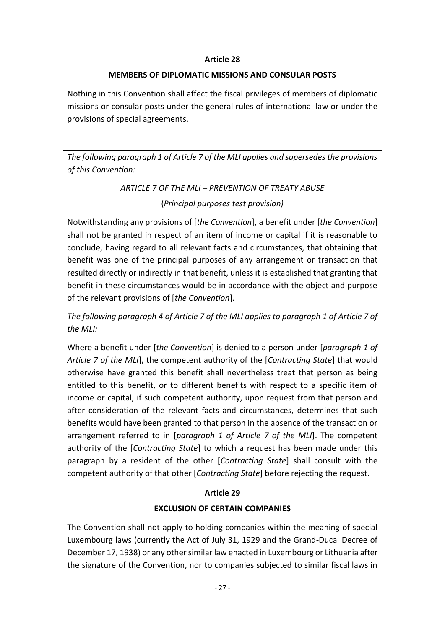### **MEMBERS OF DIPLOMATIC MISSIONS AND CONSULAR POSTS**

Nothing in this Convention shall affect the fiscal privileges of members of diplomatic missions or consular posts under the general rules of international law or under the provisions of special agreements.

*The following paragraph 1 of Article 7 of the MLI applies and supersedes the provisions of this Convention:*

# *ARTICLE 7 OF THE MLI – PREVENTION OF TREATY ABUSE* (*Principal purposes test provision)*

Notwithstanding any provisions of [*the Convention*], a benefit under [*the Convention*] shall not be granted in respect of an item of income or capital if it is reasonable to conclude, having regard to all relevant facts and circumstances, that obtaining that benefit was one of the principal purposes of any arrangement or transaction that resulted directly or indirectly in that benefit, unless it is established that granting that benefit in these circumstances would be in accordance with the object and purpose of the relevant provisions of [*the Convention*].

*The following paragraph 4 of Article 7 of the MLI applies to paragraph 1 of Article 7 of the MLI:*

Where a benefit under [*the Convention*] is denied to a person under [*paragraph 1 of Article 7 of the MLI*], the competent authority of the [*Contracting State*] that would otherwise have granted this benefit shall nevertheless treat that person as being entitled to this benefit, or to different benefits with respect to a specific item of income or capital, if such competent authority, upon request from that person and after consideration of the relevant facts and circumstances, determines that such benefits would have been granted to that person in the absence of the transaction or arrangement referred to in [*paragraph 1 of Article 7 of the MLI*]. The competent authority of the [*Contracting State*] to which a request has been made under this paragraph by a resident of the other [*Contracting State*] shall consult with the competent authority of that other [*Contracting State*] before rejecting the request.

# **Article 29**

### **EXCLUSION OF CERTAIN COMPANIES**

The Convention shall not apply to holding companies within the meaning of special Luxembourg laws (currently the Act of July 31, 1929 and the Grand-Ducal Decree of December 17, 1938) or any other similar law enacted in Luxembourg or Lithuania after the signature of the Convention, nor to companies subjected to similar fiscal laws in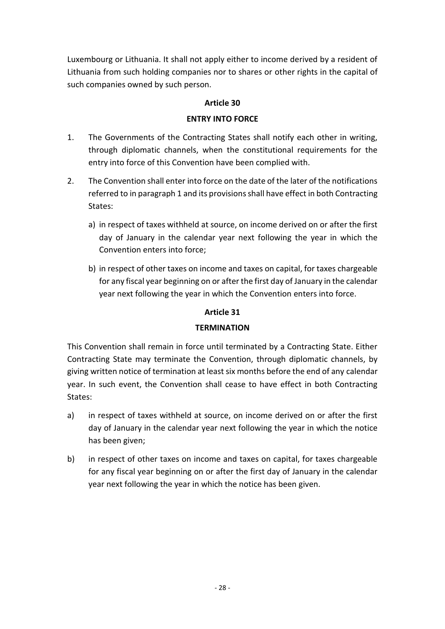Luxembourg or Lithuania. It shall not apply either to income derived by a resident of Lithuania from such holding companies nor to shares or other rights in the capital of such companies owned by such person.

### **Article 30**

## **ENTRY INTO FORCE**

- 1. The Governments of the Contracting States shall notify each other in writing, through diplomatic channels, when the constitutional requirements for the entry into force of this Convention have been complied with.
- 2. The Convention shall enter into force on the date of the later of the notifications referred to in paragraph 1 and its provisions shall have effect in both Contracting States:
	- a) in respect of taxes withheld at source, on income derived on or after the first day of January in the calendar year next following the year in which the Convention enters into force;
	- b) in respect of other taxes on income and taxes on capital, for taxes chargeable for any fiscal year beginning on or after the first day of January in the calendar year next following the year in which the Convention enters into force.

### **Article 31**

# **TERMINATION**

This Convention shall remain in force until terminated by a Contracting State. Either Contracting State may terminate the Convention, through diplomatic channels, by giving written notice of termination at least six months before the end of any calendar year. In such event, the Convention shall cease to have effect in both Contracting States:

- a) in respect of taxes withheld at source, on income derived on or after the first day of January in the calendar year next following the year in which the notice has been given;
- b) in respect of other taxes on income and taxes on capital, for taxes chargeable for any fiscal year beginning on or after the first day of January in the calendar year next following the year in which the notice has been given.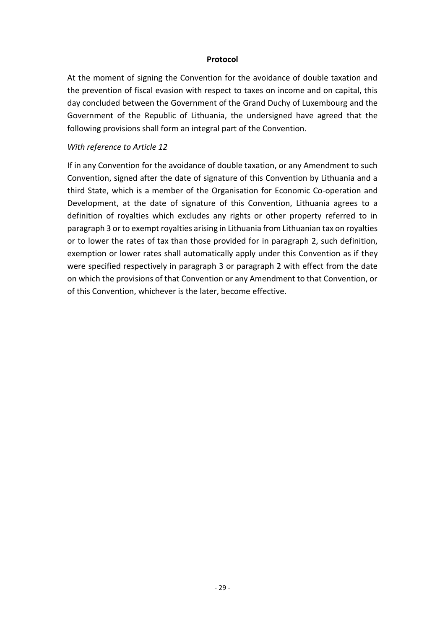#### **Protocol**

At the moment of signing the Convention for the avoidance of double taxation and the prevention of fiscal evasion with respect to taxes on income and on capital, this day concluded between the Government of the Grand Duchy of Luxembourg and the Government of the Republic of Lithuania, the undersigned have agreed that the following provisions shall form an integral part of the Convention.

#### *With reference to Article 12*

If in any Convention for the avoidance of double taxation, or any Amendment to such Convention, signed after the date of signature of this Convention by Lithuania and a third State, which is a member of the Organisation for Economic Co-operation and Development, at the date of signature of this Convention, Lithuania agrees to a definition of royalties which excludes any rights or other property referred to in paragraph 3 or to exempt royalties arising in Lithuania from Lithuanian tax on royalties or to lower the rates of tax than those provided for in paragraph 2, such definition, exemption or lower rates shall automatically apply under this Convention as if they were specified respectively in paragraph 3 or paragraph 2 with effect from the date on which the provisions of that Convention or any Amendment to that Convention, or of this Convention, whichever is the later, become effective.